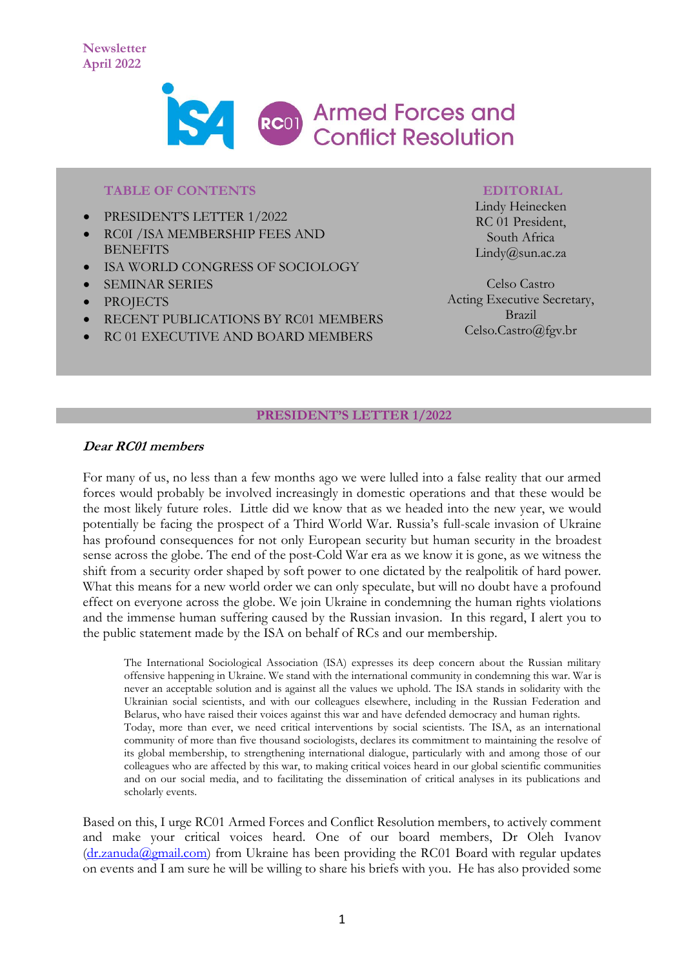

#### **TABLE OF CONTENTS**

- PRESIDENT'S LETTER 1/2022
- RC0I /ISA MEMBERSHIP FEES AND **BENEFITS**
- ISA WORLD CONGRESS OF SOCIOLOGY
- SEMINAR SERIES
- **PROJECTS**
- RECENT PUBLICATIONS BY RC01 MEMBERS
- RC 01 EXECUTIVE AND BOARD MEMBERS

#### **EDITORIAL**

Lindy Heinecken RC 01 President, South Africa Lindy@sun.ac.za

Celso Castro Acting Executive Secretary, Brazil Celso.Castro@fgv.br

#### **PRESIDENT'S LETTER 1/2022**

## **Dear RC01 members**

For many of us, no less than a few months ago we were lulled into a false reality that our armed forces would probably be involved increasingly in domestic operations and that these would be the most likely future roles. Little did we know that as we headed into the new year, we would potentially be facing the prospect of a Third World War. Russia's full-scale invasion of Ukraine has profound consequences for not only European security but human security in the broadest sense across the globe. The end of the post-Cold War era as we know it is gone, as we witness the shift from a security order shaped by soft power to one dictated by the realpolitik of hard power. What this means for a new world order we can only speculate, but will no doubt have a profound effect on everyone across the globe. We join Ukraine in condemning the human rights violations and the immense human suffering caused by the Russian invasion. In this regard, I alert you to the public statement made by the ISA on behalf of RCs and our membership.

The International Sociological Association (ISA) expresses its deep concern about the Russian military offensive happening in Ukraine. We stand with the international community in condemning this war. War is never an acceptable solution and is against all the values we uphold. The ISA stands in solidarity with the Ukrainian social scientists, and with our colleagues elsewhere, including in the Russian Federation and Belarus, who have raised their voices against this war and have defended democracy and human rights. Today, more than ever, we need critical interventions by social scientists. The ISA, as an international community of more than five thousand sociologists, declares its commitment to maintaining the resolve of its global membership, to strengthening international dialogue, particularly with and among those of our colleagues who are affected by this war, to making critical voices heard in our global scientific communities and on our social media, and to facilitating the dissemination of critical analyses in its publications and scholarly events.

Based on this, I urge RC01 Armed Forces and Conflict Resolution members, to actively comment and make your critical voices heard. One of our board members, Dr Oleh Ivanov  $(d_{r.zanuda}$ @gmail.com) from Ukraine has been providing the RC01 Board with regular updates on events and I am sure he will be willing to share his briefs with you. He has also provided some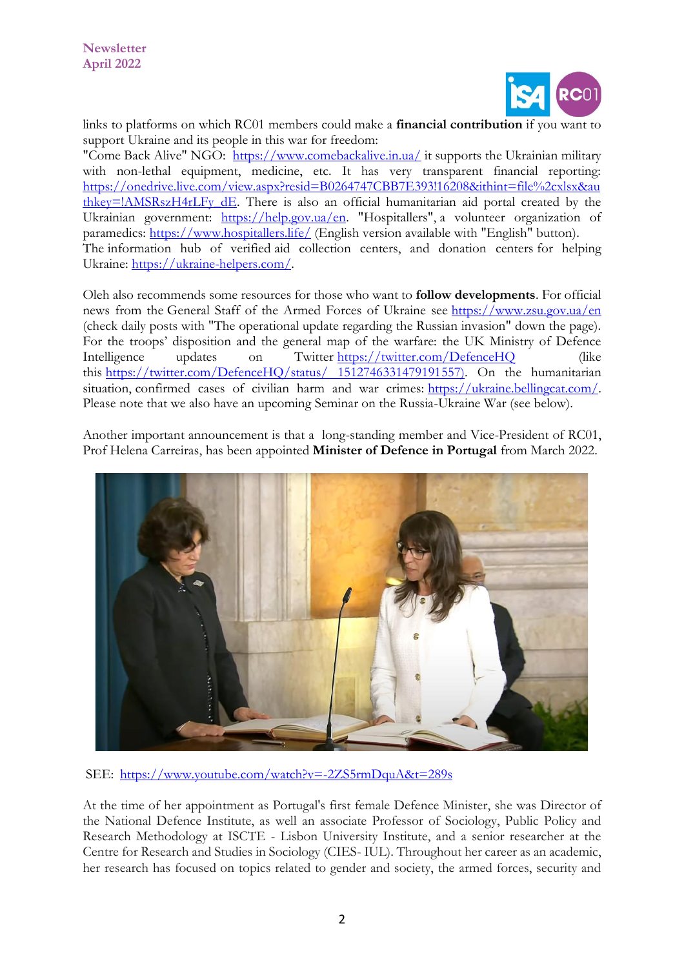

links to platforms on which RC01 members could make a **financial contribution** if you want to support Ukraine and its people in this war for freedom:

"Come Back Alive" NGO: [https://www.comebackalive.in.ua/](https://eur03.safelinks.protection.outlook.com/?url=https%3A%2F%2Fwww.comebackalive.in.ua%2F&data=04%7C01%7C%7Ccbc55cbd73854aa4c5d408da1a47567f%7Ca6fa3b030a3c42588433a120dffcd348%7C0%7C0%7C637851190963917305%7CUnknown%7CTWFpbGZsb3d8eyJWIjoiMC4wLjAwMDAiLCJQIjoiV2luMzIiLCJBTiI6Ik1haWwiLCJXVCI6Mn0%3D%7C3000&sdata=qmnOhcfjKRnAKNDm58fCYQ8QO1egjFgzIK3AkZZHGeE%3D&reserved=0) it supports the Ukrainian military with non-lethal equipment, medicine, etc. It has very transparent financial reporting: [https://onedrive.live.com/view.aspx?resid=B0264747CBB7E393!16208&ithint=file%2cxlsx&au](https://eur03.safelinks.protection.outlook.com/?url=https%3A%2F%2Fonedrive.live.com%2Fview.aspx%3Fresid%3DB0264747CBB7E393!16208%26ithint%3Dfile%252cxlsx%26authkey%3D!AMSRszH4rLFy_dE&data=04%7C01%7C%7Ccbc55cbd73854aa4c5d408da1a47567f%7Ca6fa3b030a3c42588433a120dffcd348%7C0%7C0%7C637851190963917305%7CUnknown%7CTWFpbGZsb3d8eyJWIjoiMC4wLjAwMDAiLCJQIjoiV2luMzIiLCJBTiI6Ik1haWwiLCJXVCI6Mn0%3D%7C3000&sdata=Wp8wvRhAtau1XzL79ODV2WT3M8ZzDUFpYPNS3LpdbFo%3D&reserved=0) [thkey=!AMSRszH4rLFy\\_dE.](https://eur03.safelinks.protection.outlook.com/?url=https%3A%2F%2Fonedrive.live.com%2Fview.aspx%3Fresid%3DB0264747CBB7E393!16208%26ithint%3Dfile%252cxlsx%26authkey%3D!AMSRszH4rLFy_dE&data=04%7C01%7C%7Ccbc55cbd73854aa4c5d408da1a47567f%7Ca6fa3b030a3c42588433a120dffcd348%7C0%7C0%7C637851190963917305%7CUnknown%7CTWFpbGZsb3d8eyJWIjoiMC4wLjAwMDAiLCJQIjoiV2luMzIiLCJBTiI6Ik1haWwiLCJXVCI6Mn0%3D%7C3000&sdata=Wp8wvRhAtau1XzL79ODV2WT3M8ZzDUFpYPNS3LpdbFo%3D&reserved=0) There is also an official humanitarian aid portal created by the Ukrainian government: [https://help.gov.ua/en.](https://eur03.safelinks.protection.outlook.com/?url=https%3A%2F%2Fhelp.gov.ua%2Fen&data=04%7C01%7C%7Ccbc55cbd73854aa4c5d408da1a47567f%7Ca6fa3b030a3c42588433a120dffcd348%7C0%7C0%7C637851190963917305%7CUnknown%7CTWFpbGZsb3d8eyJWIjoiMC4wLjAwMDAiLCJQIjoiV2luMzIiLCJBTiI6Ik1haWwiLCJXVCI6Mn0%3D%7C3000&sdata=vW7smMY1btXqgh4AHqQLBSTBl3EGjAk%2FpAFMNUeHgOs%3D&reserved=0) "Hospitallers", a volunteer organization of paramedics: [https://www.hospitallers.life/](https://eur03.safelinks.protection.outlook.com/?url=https%3A%2F%2Fwww.hospitallers.life%2F&data=04%7C01%7C%7Ccbc55cbd73854aa4c5d408da1a47567f%7Ca6fa3b030a3c42588433a120dffcd348%7C0%7C0%7C637851190963917305%7CUnknown%7CTWFpbGZsb3d8eyJWIjoiMC4wLjAwMDAiLCJQIjoiV2luMzIiLCJBTiI6Ik1haWwiLCJXVCI6Mn0%3D%7C3000&sdata=VIyKHyr2urCj696z7f8VRjjpDu54OKxhj3cZqddV0XE%3D&reserved=0) (English version available with "English" button). The information hub of verified aid collection centers, and donation centers for helping Ukraine: [https://ukraine-helpers.com/.](https://eur03.safelinks.protection.outlook.com/?url=https%3A%2F%2Fukraine-helpers.com%2F&data=04%7C01%7C%7Ccbc55cbd73854aa4c5d408da1a47567f%7Ca6fa3b030a3c42588433a120dffcd348%7C0%7C0%7C637851190963917305%7CUnknown%7CTWFpbGZsb3d8eyJWIjoiMC4wLjAwMDAiLCJQIjoiV2luMzIiLCJBTiI6Ik1haWwiLCJXVCI6Mn0%3D%7C3000&sdata=nq0ezJMlv%2FVy4e5k4bsF%2FZAGH1res1XdJ%2FXaauBfIsY%3D&reserved=0)

Oleh also recommends some resources for those who want to **follow developments**. For official news from the General Staff of the Armed Forces of Ukraine see [https://www.zsu.gov.ua/en](https://eur03.safelinks.protection.outlook.com/?url=https%3A%2F%2Fwww.zsu.gov.ua%2Fen&data=04%7C01%7C%7Ccbc55cbd73854aa4c5d408da1a47567f%7Ca6fa3b030a3c42588433a120dffcd348%7C0%7C0%7C637851190963917305%7CUnknown%7CTWFpbGZsb3d8eyJWIjoiMC4wLjAwMDAiLCJQIjoiV2luMzIiLCJBTiI6Ik1haWwiLCJXVCI6Mn0%3D%7C3000&sdata=tC6fpsQDJjZVF7rXQTP04YfEGK3Qs1djdmF7ueN0N5k%3D&reserved=0) (check daily posts with "The operational update regarding the Russian invasion" down the page). For the troops' disposition and the general map of the warfare: the UK Ministry of Defence Intelligence updates on Twitter [https://twitter.com/DefenceHQ](https://eur03.safelinks.protection.outlook.com/?url=https%3A%2F%2Ftwitter.com%2FDefenceHQ&data=04%7C01%7C%7Ccbc55cbd73854aa4c5d408da1a47567f%7Ca6fa3b030a3c42588433a120dffcd348%7C0%7C0%7C637851190963917305%7CUnknown%7CTWFpbGZsb3d8eyJWIjoiMC4wLjAwMDAiLCJQIjoiV2luMzIiLCJBTiI6Ik1haWwiLCJXVCI6Mn0%3D%7C3000&sdata=AhOIJinQ4YkGKXiDFsJBmxLFOIRvlQiq7nI9N5Boqtk%3D&reserved=0) (like this [https://twitter.com/DefenceHQ/status/ 1512746331479191557\)](https://twitter.com/DefenceHQ/status/%201512746331479191557). On the humanitarian situation, confirmed cases of civilian harm and war crimes: [https://ukraine.bellingcat.com/.](https://eur03.safelinks.protection.outlook.com/?url=https%3A%2F%2Fukraine.bellingcat.com%2F&data=04%7C01%7C%7Ccbc55cbd73854aa4c5d408da1a47567f%7Ca6fa3b030a3c42588433a120dffcd348%7C0%7C0%7C637851190963917305%7CUnknown%7CTWFpbGZsb3d8eyJWIjoiMC4wLjAwMDAiLCJQIjoiV2luMzIiLCJBTiI6Ik1haWwiLCJXVCI6Mn0%3D%7C3000&sdata=GFEPqheiEAwwOZCbUEQX9Dg8GMaNXJ2HCn7jINC%2Fme4%3D&reserved=0) Please note that we also have an upcoming Seminar on the Russia-Ukraine War (see below).

Another important announcement is that a long-standing member and Vice-President of RC01, Prof Helena Carreiras, has been appointed **Minister of Defence in Portugal** from March 2022.



SEE: <https://www.youtube.com/watch?v=-2ZS5rmDquA&t=289s>

At the time of her appointment as Portugal's first female Defence Minister, she was Director of the National Defence Institute, as well an associate Professor of Sociology, Public Policy and Research Methodology at ISCTE - Lisbon University Institute, and a senior researcher at the Centre for Research and Studies in Sociology (CIES- IUL). Throughout her career as an academic, her research has focused on topics related to gender and society, the armed forces, security and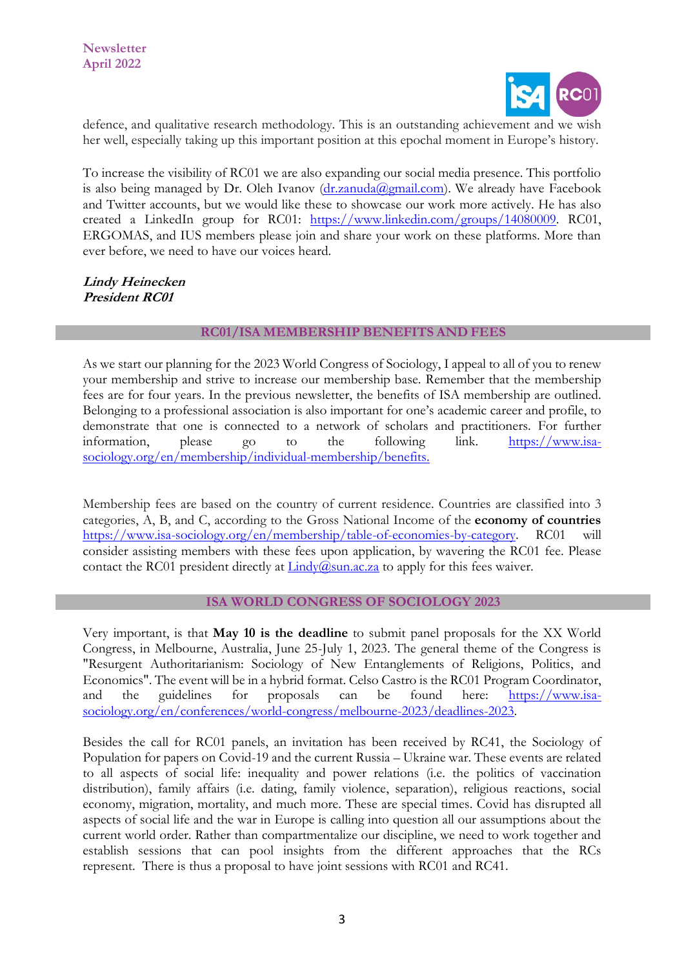

defence, and qualitative research methodology. This is an outstanding achievement and we wish her well, especially taking up this important position at this epochal moment in Europe's history.

To increase the visibility of RC01 we are also expanding our social media presence. This portfolio is also being managed by Dr. Oleh Ivanov  $(dr.zanuda@gmail.com)$ . We already have Facebook and Twitter accounts, but we would like these to showcase our work more actively. He has also created a LinkedIn group for RC01: [https://www.linkedin.com/groups/14080009.](https://eur03.safelinks.protection.outlook.com/?url=https%3A%2F%2Fwww.linkedin.com%2Fgroups%2F14080009&data=04%7C01%7C%7C36deacca482b4f8c35f008da0f350f7c%7Ca6fa3b030a3c42588433a120dffcd348%7C0%7C0%7C637839017878812386%7CUnknown%7CTWFpbGZsb3d8eyJWIjoiMC4wLjAwMDAiLCJQIjoiV2luMzIiLCJBTiI6Ik1haWwiLCJXVCI6Mn0%3D%7C3000&sdata=1lupcP%2BO9zufNbO9kxlDZB9w1YHErEWb4LnQzX5x6a4%3D&reserved=0) RC01, ERGOMAS, and IUS members please join and share your work on these platforms. More than ever before, we need to have our voices heard.

**Lindy Heinecken President RC01**

## **RC01/ISA MEMBERSHIP BENEFITS AND FEES**

As we start our planning for the 2023 World Congress of Sociology, I appeal to all of you to renew your membership and strive to increase our membership base. Remember that the membership fees are for four years. In the previous newsletter, the benefits of ISA membership are outlined. Belonging to a professional association is also important for one's academic career and profile, to demonstrate that one is connected to a network of scholars and practitioners. For further information, please go to the following link. [https://www.isa](https://www.isa-sociology.org/en/membership/individual-membership/benefits)[sociology.org/en/membership/individual-membership/benefits.](https://www.isa-sociology.org/en/membership/individual-membership/benefits)

Membership fees are based on the country of current residence. Countries are classified into 3 categories, A, B, and C, according to the Gross National Income of the **[economy of countries](https://www.isa-sociology.org/en/membership/table-of-economies-by-category)** [https://www.isa-sociology.org/en/membership/table-of-economies-by-category.](https://www.isa-sociology.org/en/membership/table-of-economies-by-category) RC01 will consider assisting members with these fees upon application, by wavering the RC01 fee. Please contact the RC01 president directly at  $\frac{\text{Lindy}(a)\text{sun.ac.za}}{\text{Lindy}(a)\text{sun.ac.za}}$  to apply for this fees waiver.

#### **ISA WORLD CONGRESS OF SOCIOLOGY 2023**

Very important, is that **May 10 is the deadline** to submit panel proposals for the XX World Congress, in Melbourne, Australia, June 25-July 1, 2023. The general theme of the Congress is "Resurgent Authoritarianism: Sociology of New Entanglements of Religions, Politics, and Economics". The event will be in a hybrid format. Celso Castro is the RC01 Program Coordinator, and the guidelines for proposals can be found here: [https://www.isa](https://www.isa-sociology.org/en/conferences/world-congress/melbourne-2023/deadlines-2023)[sociology.org/en/conferences/world-congress/melbourne-2023/deadlines-2023.](https://www.isa-sociology.org/en/conferences/world-congress/melbourne-2023/deadlines-2023)

Besides the call for RC01 panels, an invitation has been received by RC41, the Sociology of Population for papers on Covid-19 and the current Russia – Ukraine war. These events are related to all aspects of social life: inequality and power relations (i.e. the politics of vaccination distribution), family affairs (i.e. dating, family violence, separation), religious reactions, social economy, migration, mortality, and much more. These are special times. Covid has disrupted all aspects of social life and the war in Europe is calling into question all our assumptions about the current world order. Rather than compartmentalize our discipline, we need to work together and establish sessions that can pool insights from the different approaches that the RCs represent. There is thus a proposal to have joint sessions with RC01 and RC41.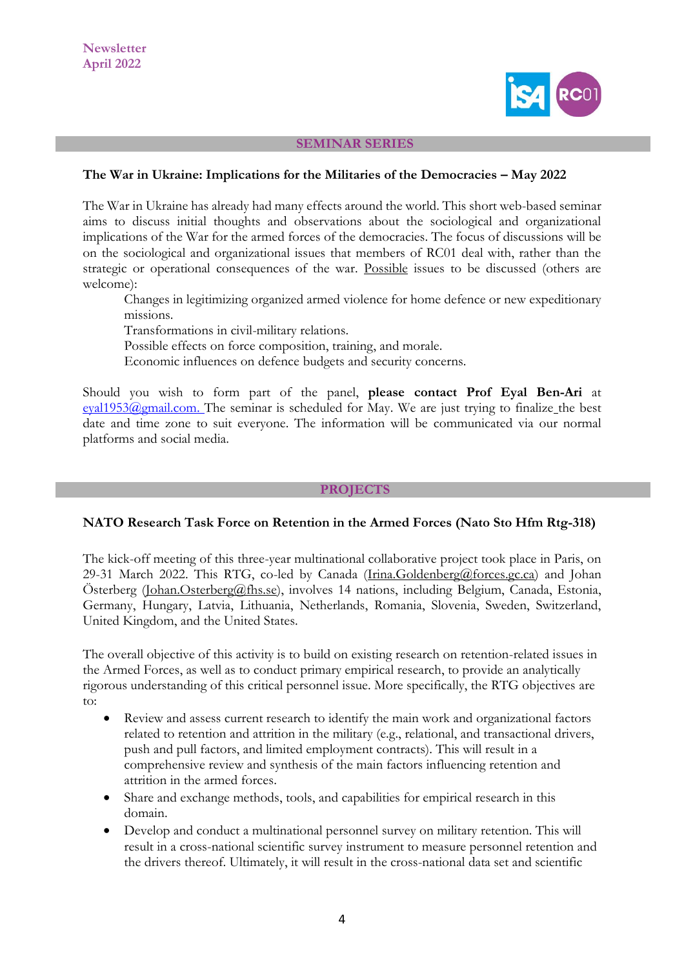

#### **SEMINAR SERIES**

#### **The War in Ukraine: Implications for the Militaries of the Democracies – May 2022**

The War in Ukraine has already had many effects around the world. This short web-based seminar aims to discuss initial thoughts and observations about the sociological and organizational implications of the War for the armed forces of the democracies. The focus of discussions will be on the sociological and organizational issues that members of RC01 deal with, rather than the strategic or operational consequences of the war. Possible issues to be discussed (others are welcome):

Changes in legitimizing organized armed violence for home defence or new expeditionary missions.

Transformations in civil-military relations.

Possible effects on force composition, training, and morale.

Economic influences on defence budgets and security concerns.

Should you wish to form part of the panel, **please contact Prof Eyal Ben-Ari** at [eyal1953@gmail.com.](mailto:eyal1953@gmail.com) The seminar is scheduled for May. We are just trying to finalize the best date and time zone to suit everyone. The information will be communicated via our normal platforms and social media.

#### **PROJECTS**

#### **NATO Research Task Force on Retention in the Armed Forces (Nato Sto Hfm Rtg-318)**

The kick-off meeting of this three-year multinational collaborative project took place in Paris, on 29-31 March 2022. This RTG, co-led by Canada [\(Irina.Goldenberg@forces.gc.ca\)](mailto:Irina.Goldenberg@forces.gc.ca) and Johan Österberg [\(Johan.Osterberg@fhs.se\)](mailto:Johan.Osterberg@fhs.se), involves 14 nations, including Belgium, Canada, Estonia, Germany, Hungary, Latvia, Lithuania, Netherlands, Romania, Slovenia, Sweden, Switzerland, United Kingdom, and the United States.

The overall objective of this activity is to build on existing research on retention-related issues in the Armed Forces, as well as to conduct primary empirical research, to provide an analytically rigorous understanding of this critical personnel issue. More specifically, the RTG objectives are to:

- Review and assess current research to identify the main work and organizational factors related to retention and attrition in the military (e.g., relational, and transactional drivers, push and pull factors, and limited employment contracts). This will result in a comprehensive review and synthesis of the main factors influencing retention and attrition in the armed forces.
- Share and exchange methods, tools, and capabilities for empirical research in this domain.
- Develop and conduct a multinational personnel survey on military retention. This will result in a cross-national scientific survey instrument to measure personnel retention and the drivers thereof. Ultimately, it will result in the cross-national data set and scientific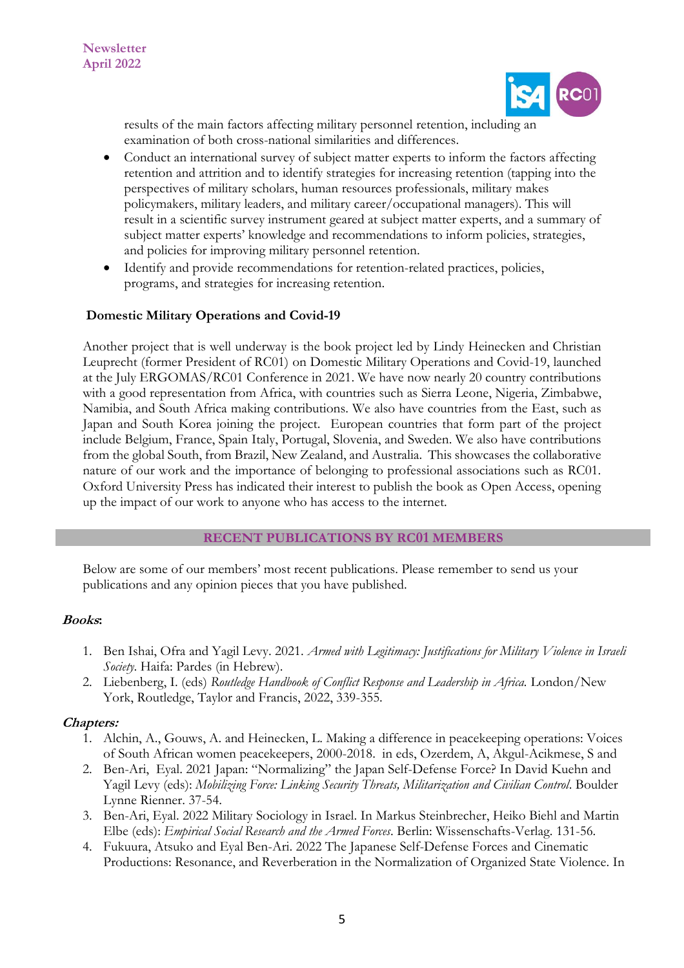

results of the main factors affecting military personnel retention, including an examination of both cross-national similarities and differences.

- Conduct an international survey of subject matter experts to inform the factors affecting retention and attrition and to identify strategies for increasing retention (tapping into the perspectives of military scholars, human resources professionals, military makes policymakers, military leaders, and military career/occupational managers). This will result in a scientific survey instrument geared at subject matter experts, and a summary of subject matter experts' knowledge and recommendations to inform policies, strategies, and policies for improving military personnel retention.
- Identify and provide recommendations for retention-related practices, policies, programs, and strategies for increasing retention.

# **Domestic Military Operations and Covid-19**

Another project that is well underway is the book project led by Lindy Heinecken and Christian Leuprecht (former President of RC01) on Domestic Military Operations and Covid-19, launched at the July ERGOMAS/RC01 Conference in 2021. We have now nearly 20 country contributions with a good representation from Africa, with countries such as Sierra Leone, Nigeria, Zimbabwe, Namibia, and South Africa making contributions. We also have countries from the East, such as Japan and South Korea joining the project. European countries that form part of the project include Belgium, France, Spain Italy, Portugal, Slovenia, and Sweden. We also have contributions from the global South, from Brazil, New Zealand, and Australia. This showcases the collaborative nature of our work and the importance of belonging to professional associations such as RC01. Oxford University Press has indicated their interest to publish the book as Open Access, opening up the impact of our work to anyone who has access to the internet.

#### **RECENT PUBLICATIONS BY RC01 MEMBERS**

Below are some of our members' most recent publications. Please remember to send us your publications and any opinion pieces that you have published.

#### **Books:**

- 1. Ben Ishai, Ofra and Yagil Levy. 2021. *Armed with Legitimacy: Justifications for Military Violence in Israeli Society*. Haifa: Pardes (in Hebrew).
- 2. Liebenberg, I. (eds) *Routledge Handbook of Conflict Response and Leadership in Africa.* London/New York, Routledge, Taylor and Francis, 2022, 339-355.

#### **Chapters:**

- 1. Alchin, A., Gouws, A. and Heinecken, L. Making a difference in peacekeeping operations: Voices of South African women peacekeepers, 2000-2018. in eds, Ozerdem, A, Akgul-Acikmese, S and
- 2. Ben-Ari, Eyal. 2021 Japan: "Normalizing" the Japan Self-Defense Force? In David Kuehn and Yagil Levy (eds): *Mobilizing Force: Linking Security Threats, Militarization and Civilian Control*. Boulder Lynne Rienner. 37-54.
- 3. Ben-Ari, Eyal. 2022 Military Sociology in Israel. In Markus Steinbrecher, Heiko Biehl and Martin Elbe (eds): *Empirical Social Research and the Armed Forces*. Berlin: Wissenschafts-Verlag. 131-56.
- 4. Fukuura, Atsuko and Eyal Ben-Ari. 2022 The Japanese Self-Defense Forces and Cinematic Productions: Resonance, and Reverberation in the Normalization of Organized State Violence. In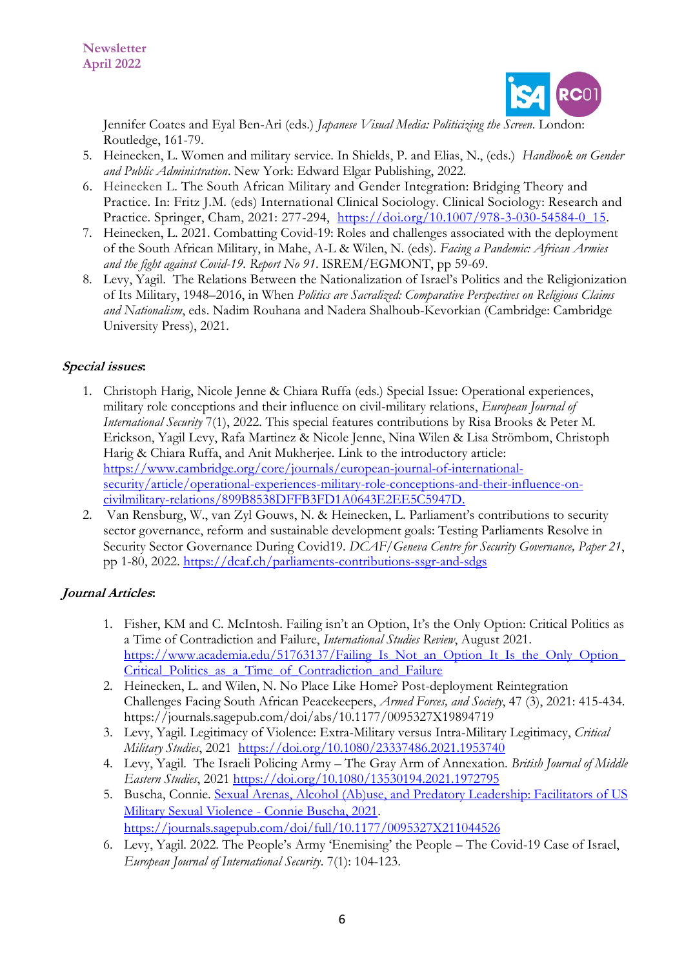

Jennifer Coates and Eyal Ben-Ari (eds.) *Japanese Visual Media: Politicizing the Screen*. London: Routledge, 161-79.

- 5. Heinecken, L. Women and military service. In Shields, P. and Elias, N., (eds.) *Handbook on Gender and Public Administration*. New York: Edward Elgar Publishing, 2022.
- 6. Heinecken L. The South African Military and Gender Integration: Bridging Theory and Practice. In: Fritz J.M. (eds) International Clinical Sociology. Clinical Sociology: Research and Practice. Springer, Cham, 2021: 277-294, [https://doi.org/10.1007/978-3-030-54584-0\\_15.](https://doi.org/10.1007/978-3-030-54584-0_15)
- 7. Heinecken, L. 2021. Combatting Covid-19: Roles and challenges associated with the deployment of the South African Military, in Mahe, A-L & Wilen, N. (eds). *Facing a Pandemic: African Armies and the fight against Covid-19. Report No 91*. ISREM/EGMONT, pp 59-69.
- 8. Levy, Yagil. The Relations Between the Nationalization of Israel's Politics and the Religionization of Its Military, 1948–2016, in When *Politics are Sacralized: Comparative Perspectives on Religious Claims and Nationalism*, eds. Nadim Rouhana and Nadera Shalhoub-Kevorkian (Cambridge: Cambridge University Press), 2021.

# **Special issues:**

- 1. Christoph Harig, Nicole Jenne & Chiara Ruffa (eds.) Special Issue: Operational experiences, military role conceptions and their influence on civil-military relations, *European Journal of International Security* 7(1), 2022. This special features contributions by Risa Brooks & Peter M. Erickson, Yagil Levy, Rafa Martinez & Nicole Jenne, Nina Wilen & Lisa Strömbom, Christoph Harig & Chiara Ruffa, and Anit Mukherjee. Link to the introductory article: [https://www.cambridge.org/core/journals/european-journal-of-international](https://nam10.safelinks.protection.outlook.com/?url=https%3A%2F%2Fwww.cambridge.org%2Fcore%2Fjournals%2Feuropean-journal-of-international-security%2Farticle%2Foperational-experiences-military-role-conceptions-and-their-influence-on-civilmilitary-relations%2F899B8538DFFB3FD1A0643E2EE5C5947D&data=04%7C01%7CCelso.Castro%40fgv.br%7Ccddd3c88c2964c8d8f1a08d9d40791e4%7C79f6b639ab1242808077bdbeef869b33%7C0%7C0%7C637773951291725924%7CUnknown%7CTWFpbGZsb3d8eyJWIjoiMC4wLjAwMDAiLCJQIjoiV2luMzIiLCJBTiI6Ik1haWwiLCJXVCI6Mn0%3D%7C3000&sdata=eSE07xxMWFbAB1Ife3IlNheA2jVWtL3%2FBOx3e4bY4vg%3D&reserved=0)[security/article/operational-experiences-military-role-conceptions-and-their-influence-on](https://nam10.safelinks.protection.outlook.com/?url=https%3A%2F%2Fwww.cambridge.org%2Fcore%2Fjournals%2Feuropean-journal-of-international-security%2Farticle%2Foperational-experiences-military-role-conceptions-and-their-influence-on-civilmilitary-relations%2F899B8538DFFB3FD1A0643E2EE5C5947D&data=04%7C01%7CCelso.Castro%40fgv.br%7Ccddd3c88c2964c8d8f1a08d9d40791e4%7C79f6b639ab1242808077bdbeef869b33%7C0%7C0%7C637773951291725924%7CUnknown%7CTWFpbGZsb3d8eyJWIjoiMC4wLjAwMDAiLCJQIjoiV2luMzIiLCJBTiI6Ik1haWwiLCJXVCI6Mn0%3D%7C3000&sdata=eSE07xxMWFbAB1Ife3IlNheA2jVWtL3%2FBOx3e4bY4vg%3D&reserved=0)[civilmilitary-relations/899B8538DFFB3FD1A0643E2EE5C5947D.](https://nam10.safelinks.protection.outlook.com/?url=https%3A%2F%2Fwww.cambridge.org%2Fcore%2Fjournals%2Feuropean-journal-of-international-security%2Farticle%2Foperational-experiences-military-role-conceptions-and-their-influence-on-civilmilitary-relations%2F899B8538DFFB3FD1A0643E2EE5C5947D&data=04%7C01%7CCelso.Castro%40fgv.br%7Ccddd3c88c2964c8d8f1a08d9d40791e4%7C79f6b639ab1242808077bdbeef869b33%7C0%7C0%7C637773951291725924%7CUnknown%7CTWFpbGZsb3d8eyJWIjoiMC4wLjAwMDAiLCJQIjoiV2luMzIiLCJBTiI6Ik1haWwiLCJXVCI6Mn0%3D%7C3000&sdata=eSE07xxMWFbAB1Ife3IlNheA2jVWtL3%2FBOx3e4bY4vg%3D&reserved=0)
- 2. Van Rensburg, W., van Zyl Gouws, N. & Heinecken, L. Parliament's contributions to security sector governance, reform and sustainable development goals: Testing Parliaments Resolve in Security Sector Governance During Covid19. *DCAF/Geneva Centre for Security Governance, Paper 21*, pp 1-80, 2022. <https://dcaf.ch/parliaments-contributions-ssgr-and-sdgs>

# **Journal Articles:**

- 1. Fisher, KM and C. McIntosh. Failing isn't an Option, It's the Only Option: Critical Politics as a Time of Contradiction and Failure, *International Studies Review*, August 2021. https://www.academia.edu/51763137/Failing\_Is\_Not\_an\_Option\_It\_Is\_the\_Only\_Option [Critical\\_Politics\\_as\\_a\\_Time\\_of\\_Contradiction\\_and\\_Failure](https://www.academia.edu/51763137/Failing_Is_Not_an_Option_It_Is_the_Only_Option_Critical_Politics_as_a_Time_of_Contradiction_and_Failure)
- 2. Heinecken, L. and Wilen, N. No Place Like Home? Post-deployment Reintegration Challenges Facing South African Peacekeepers, *Armed Forces, and Society*, 47 (3), 2021: 415-434. https://journals.sagepub.com/doi/abs/10.1177/0095327X19894719
- 3. Levy, Yagil. Legitimacy of Violence: Extra-Military versus Intra-Military Legitimacy, *Critical Military Studies*, 2021 <https://doi.org/10.1080/23337486.2021.1953740>
- 4. Levy, Yagil. The Israeli Policing Army The Gray Arm of Annexation. *British Journal of Middle Eastern Studies*, 2021 <https://doi.org/10.1080/13530194.2021.1972795>
- 5. Buscha, Connie. [Sexual Arenas, Alcohol \(Ab\)use, and Predatory Leadership: Facilitators of US](https://nam10.safelinks.protection.outlook.com/?url=https%3A%2F%2Fjournals.sagepub.com%2Fdoi%2Ffull%2F10.1177%2F0095327X211044526&data=04%7C01%7CCelso.Castro%40fgv.br%7Cc61f8498066647368d1208da079df6c1%7C79f6b639ab1242808077bdbeef869b33%7C0%7C0%7C637830672950771027%7CUnknown%7CTWFpbGZsb3d8eyJWIjoiMC4wLjAwMDAiLCJQIjoiV2luMzIiLCJBTiI6Ik1haWwiLCJXVCI6Mn0%3D%7C2000&sdata=0iQmJQAxTLkLCEDmBKZNocUvnr311t660GjE24e7BYc%3D&reserved=0)  [Military Sexual Violence -](https://nam10.safelinks.protection.outlook.com/?url=https%3A%2F%2Fjournals.sagepub.com%2Fdoi%2Ffull%2F10.1177%2F0095327X211044526&data=04%7C01%7CCelso.Castro%40fgv.br%7Cc61f8498066647368d1208da079df6c1%7C79f6b639ab1242808077bdbeef869b33%7C0%7C0%7C637830672950771027%7CUnknown%7CTWFpbGZsb3d8eyJWIjoiMC4wLjAwMDAiLCJQIjoiV2luMzIiLCJBTiI6Ik1haWwiLCJXVCI6Mn0%3D%7C2000&sdata=0iQmJQAxTLkLCEDmBKZNocUvnr311t660GjE24e7BYc%3D&reserved=0) Connie Buscha, 2021. <https://journals.sagepub.com/doi/full/10.1177/0095327X211044526>
- 6. Levy, Yagil. 2022. The People's Army 'Enemising' the People The Covid-19 Case of Israel, *European Journal of International Security*. 7(1): 104-123.